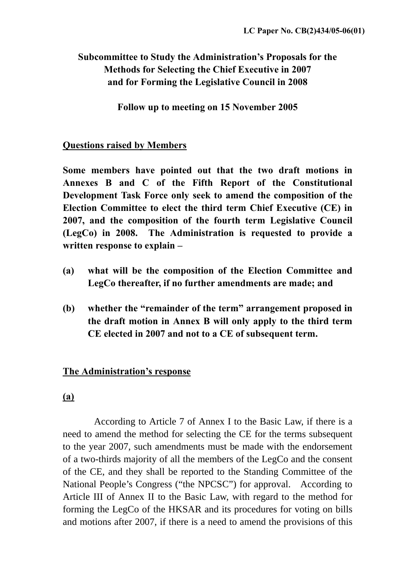# **Subcommittee to Study the Administration's Proposals for the Methods for Selecting the Chief Executive in 2007 and for Forming the Legislative Council in 2008**

**Follow up to meeting on 15 November 2005**

#### **Questions raised by Members**

**Some members have pointed out that the two draft motions in Annexes B and C of the Fifth Report of the Constitutional Development Task Force only seek to amend the composition of the Election Committee to elect the third term Chief Executive (CE) in 2007, and the composition of the fourth term Legislative Council (LegCo) in 2008. The Administration is requested to provide a written response to explain –** 

- **(a) what will be the composition of the Election Committee and LegCo thereafter, if no further amendments are made; and**
- **(b) whether the "remainder of the term" arrangement proposed in the draft motion in Annex B will only apply to the third term CE elected in 2007 and not to a CE of subsequent term.**

### **The Administration's response**

#### **(a)**

 According to Article 7 of Annex I to the Basic Law, if there is a need to amend the method for selecting the CE for the terms subsequent to the year 2007, such amendments must be made with the endorsement of a two-thirds majority of all the members of the LegCo and the consent of the CE, and they shall be reported to the Standing Committee of the National People's Congress ("the NPCSC") for approval. According to Article III of Annex II to the Basic Law, with regard to the method for forming the LegCo of the HKSAR and its procedures for voting on bills and motions after 2007, if there is a need to amend the provisions of this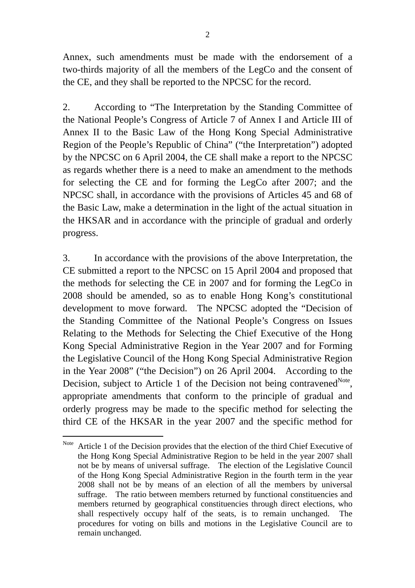Annex, such amendments must be made with the endorsement of a two-thirds majority of all the members of the LegCo and the consent of the CE, and they shall be reported to the NPCSC for the record.

2. According to "The Interpretation by the Standing Committee of the National People's Congress of Article 7 of Annex I and Article III of Annex II to the Basic Law of the Hong Kong Special Administrative Region of the People's Republic of China" ("the Interpretation") adopted by the NPCSC on 6 April 2004, the CE shall make a report to the NPCSC as regards whether there is a need to make an amendment to the methods for selecting the CE and for forming the LegCo after 2007; and the NPCSC shall, in accordance with the provisions of Articles 45 and 68 of the Basic Law, make a determination in the light of the actual situation in the HKSAR and in accordance with the principle of gradual and orderly progress.

3. In accordance with the provisions of the above Interpretation, the CE submitted a report to the NPCSC on 15 April 2004 and proposed that the methods for selecting the CE in 2007 and for forming the LegCo in 2008 should be amended, so as to enable Hong Kong's constitutional development to move forward. The NPCSC adopted the "Decision of the Standing Committee of the National People's Congress on Issues Relating to the Methods for Selecting the Chief Executive of the Hong Kong Special Administrative Region in the Year 2007 and for Forming the Legislative Council of the Hong Kong Special Administrative Region in the Year 2008" ("the Decision") on 26 April 2004. According to the Decision, subject to Article 1 of the Decision not being contravened $N<sub>ote</sub>$ , appropriate amendments that conform to the principle of gradual and orderly progress may be made to the specific method for selecting the third CE of the HKSAR in the year 2007 and the specific method for

 $\overline{a}$ 

<span id="page-1-0"></span>Note Article 1 of the Decision provides that the election of the third Chief Executive of the Hong Kong Special Administrative Region to be held in the year 2007 shall not be by means of universal suffrage. The election of the Legislative Council of the Hong Kong Special Administrative Region in the fourth term in the year 2008 shall not be by means of an election of all the members by universal suffrage. The ratio between members returned by functional constituencies and members returned by geographical constituencies through direct elections, who shall respectively occupy half of the seats, is to remain unchanged. The procedures for voting on bills and motions in the Legislative Council are to remain unchanged.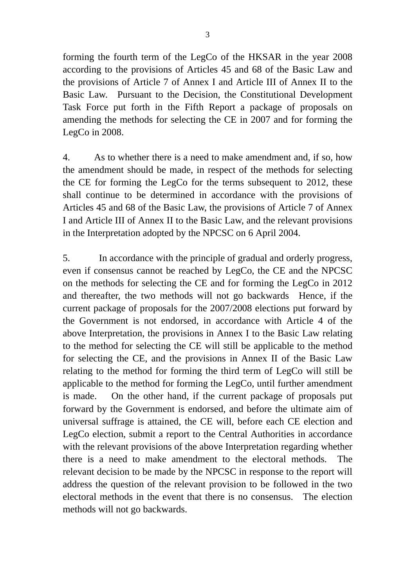forming the fourth term of the LegCo of the HKSAR in the year 2008 according to the provisions of Articles 45 and 68 of the Basic Law and the provisions of Article 7 of Annex I and Article III of Annex II to the Basic Law. Pursuant to the Decision, the Constitutional Development Task Force put forth in the Fifth Report a package of proposals on amending the methods for selecting the CE in 2007 and for forming the LegCo in 2008.

4. As to whether there is a need to make amendment and, if so, how the amendment should be made, in respect of the methods for selecting the CE for forming the LegCo for the terms subsequent to 2012, these shall continue to be determined in accordance with the provisions of Articles 45 and 68 of the Basic Law, the provisions of Article 7 of Annex I and Article III of Annex II to the Basic Law, and the relevant provisions in the Interpretation adopted by the NPCSC on 6 April 2004.

5. In accordance with the principle of gradual and orderly progress, even if consensus cannot be reached by LegCo, the CE and the NPCSC on the methods for selecting the CE and for forming the LegCo in 2012 and thereafter, the two methods will not go backwards Hence, if the current package of proposals for the 2007/2008 elections put forward by the Government is not endorsed, in accordance with Article 4 of the above Interpretation, the provisions in Annex I to the Basic Law relating to the method for selecting the CE will still be applicable to the method for selecting the CE, and the provisions in Annex II of the Basic Law relating to the method for forming the third term of LegCo will still be applicable to the method for forming the LegCo, until further amendment is made. On the other hand, if the current package of proposals put forward by the Government is endorsed, and before the ultimate aim of universal suffrage is attained, the CE will, before each CE election and LegCo election, submit a report to the Central Authorities in accordance with the relevant provisions of the above Interpretation regarding whether there is a need to make amendment to the electoral methods. The relevant decision to be made by the NPCSC in response to the report will address the question of the relevant provision to be followed in the two electoral methods in the event that there is no consensus. The election methods will not go backwards.